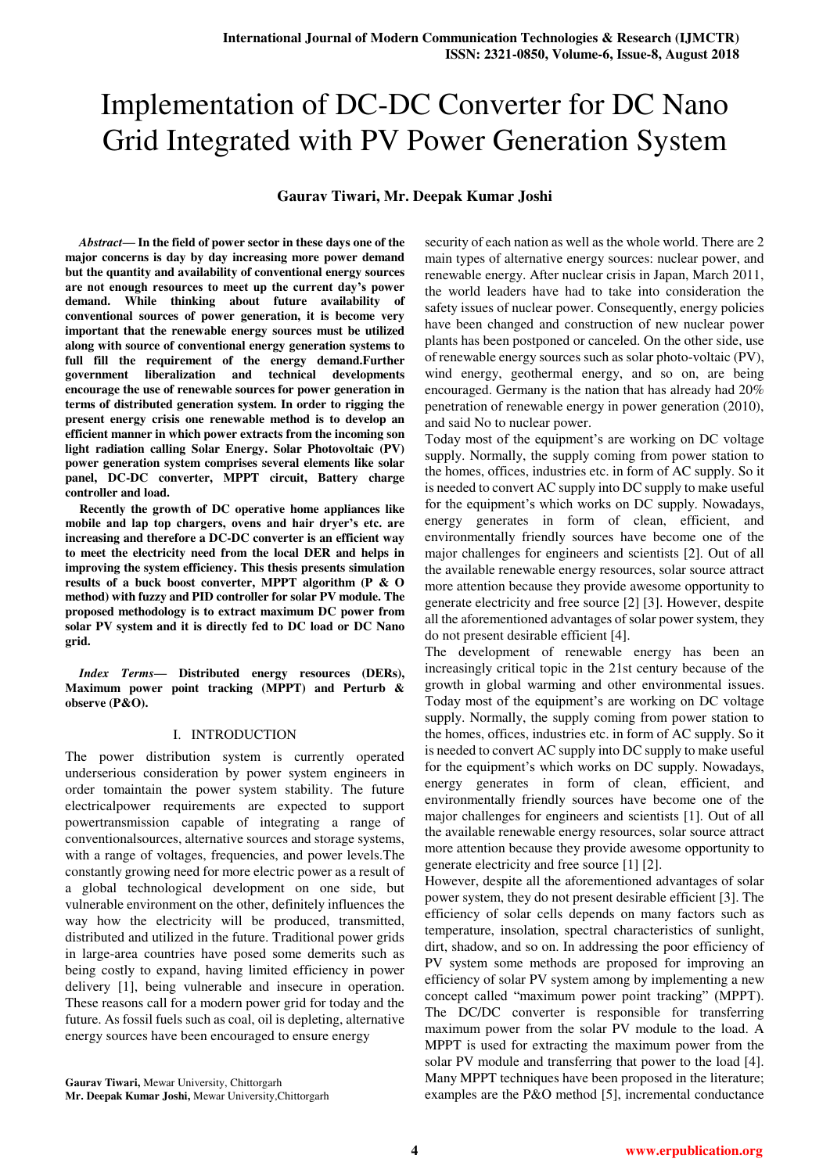# Implementation of DC-DC Converter for DC Nano Grid Integrated with PV Power Generation System

# **Gaurav Tiwari, Mr. Deepak Kumar Joshi**

*Abstract***— In the field of power sector in these days one of the major concerns is day by day increasing more power demand but the quantity and availability of conventional energy sources are not enough resources to meet up the current day's power demand. While thinking about future availability of conventional sources of power generation, it is become very important that the renewable energy sources must be utilized along with source of conventional energy generation systems to**  full fill the requirement of the energy demand.Further **government liberalization and technical developments encourage the use of renewable sources for power generation in terms of distributed generation system. In order to rigging the present energy crisis one renewable method is to develop an efficient manner in which power extracts from the incoming son light radiation calling Solar Energy. Solar Photovoltaic (PV) power generation system comprises several elements like solar panel, DC-DC converter, MPPT circuit, Battery charge controller and load.** 

**Recently the growth of DC operative home appliances like mobile and lap top chargers, ovens and hair dryer's etc. are increasing and therefore a DC-DC converter is an efficient way to meet the electricity need from the local DER and helps in improving the system efficiency. This thesis presents simulation results of a buck boost converter, MPPT algorithm (P & O method) with fuzzy and PID controller for solar PV module. The proposed methodology is to extract maximum DC power from solar PV system and it is directly fed to DC load or DC Nano grid.** 

*Index Terms***— Distributed energy resources (DERs), Maximum power point tracking (MPPT) and Perturb & observe (P&O).** 

# I. INTRODUCTION

The power distribution system is currently operated underserious consideration by power system engineers in order tomaintain the power system stability. The future electricalpower requirements are expected to support powertransmission capable of integrating a range of conventionalsources, alternative sources and storage systems, with a range of voltages, frequencies, and power levels.The constantly growing need for more electric power as a result of a global technological development on one side, but vulnerable environment on the other, definitely influences the way how the electricity will be produced, transmitted, distributed and utilized in the future. Traditional power grids in large-area countries have posed some demerits such as being costly to expand, having limited efficiency in power delivery [1], being vulnerable and insecure in operation. These reasons call for a modern power grid for today and the future. As fossil fuels such as coal, oil is depleting, alternative energy sources have been encouraged to ensure energy

**Gaurav Tiwari,** Mewar University, Chittorgarh **Mr. Deepak Kumar Joshi,** Mewar University,Chittorgarh

security of each nation as well as the whole world. There are 2 main types of alternative energy sources: nuclear power, and renewable energy. After nuclear crisis in Japan, March 2011, the world leaders have had to take into consideration the safety issues of nuclear power. Consequently, energy policies have been changed and construction of new nuclear power plants has been postponed or canceled. On the other side, use of renewable energy sources such as solar photo-voltaic (PV), wind energy, geothermal energy, and so on, are being encouraged. Germany is the nation that has already had 20% penetration of renewable energy in power generation (2010), and said No to nuclear power.

Today most of the equipment's are working on DC voltage supply. Normally, the supply coming from power station to the homes, offices, industries etc. in form of AC supply. So it is needed to convert AC supply into DC supply to make useful for the equipment's which works on DC supply. Nowadays, energy generates in form of clean, efficient, and environmentally friendly sources have become one of the major challenges for engineers and scientists [2]. Out of all the available renewable energy resources, solar source attract more attention because they provide awesome opportunity to generate electricity and free source [2] [3]. However, despite all the aforementioned advantages of solar power system, they do not present desirable efficient [4].

The development of renewable energy has been an increasingly critical topic in the 21st century because of the growth in global warming and other environmental issues. Today most of the equipment's are working on DC voltage supply. Normally, the supply coming from power station to the homes, offices, industries etc. in form of AC supply. So it is needed to convert AC supply into DC supply to make useful for the equipment's which works on DC supply. Nowadays, energy generates in form of clean, efficient, and environmentally friendly sources have become one of the major challenges for engineers and scientists [1]. Out of all the available renewable energy resources, solar source attract more attention because they provide awesome opportunity to generate electricity and free source [1] [2].

However, despite all the aforementioned advantages of solar power system, they do not present desirable efficient [3]. The efficiency of solar cells depends on many factors such as temperature, insolation, spectral characteristics of sunlight, dirt, shadow, and so on. In addressing the poor efficiency of PV system some methods are proposed for improving an efficiency of solar PV system among by implementing a new concept called "maximum power point tracking" (MPPT). The DC/DC converter is responsible for transferring maximum power from the solar PV module to the load. A MPPT is used for extracting the maximum power from the solar PV module and transferring that power to the load [4]. Many MPPT techniques have been proposed in the literature; examples are the P&O method [5], incremental conductance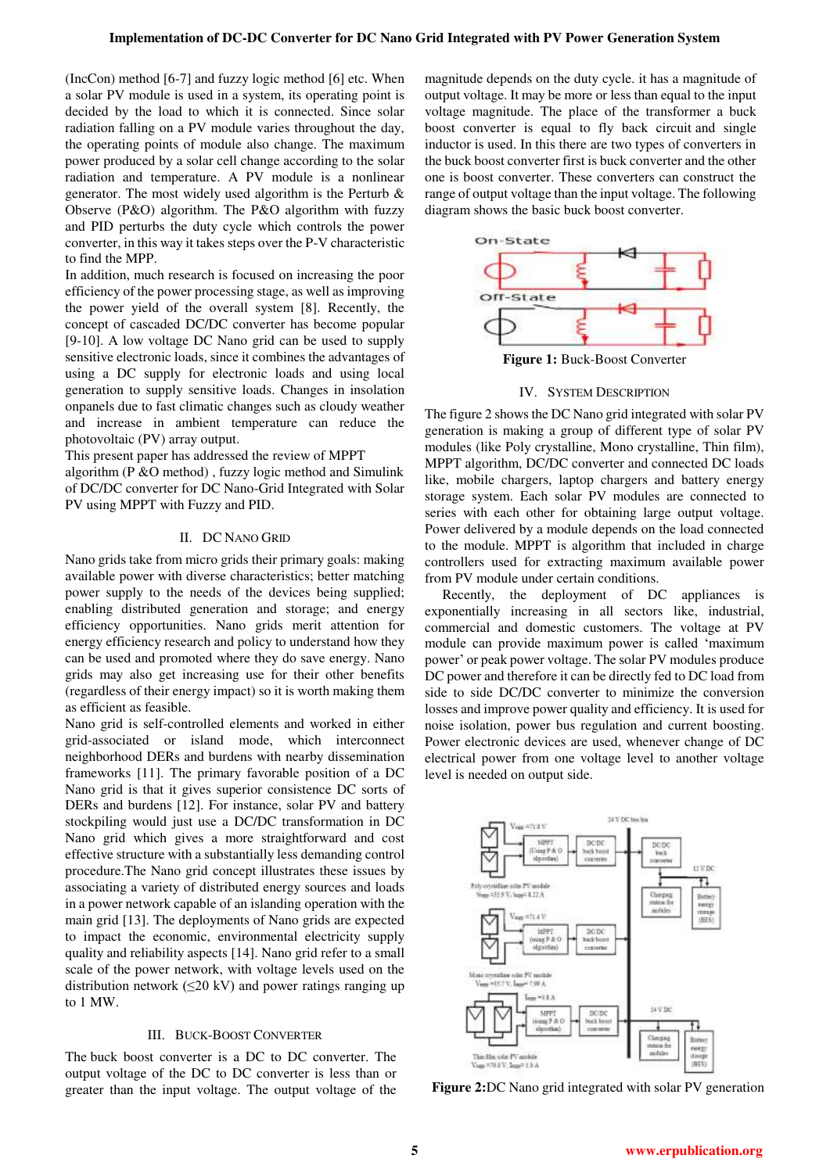(IncCon) method [6-7] and fuzzy logic method [6] etc. When a solar PV module is used in a system, its operating point is decided by the load to which it is connected. Since solar radiation falling on a PV module varies throughout the day, the operating points of module also change. The maximum power produced by a solar cell change according to the solar radiation and temperature. A PV module is a nonlinear generator. The most widely used algorithm is the Perturb & Observe (P&O) algorithm. The P&O algorithm with fuzzy and PID perturbs the duty cycle which controls the power converter, in this way it takes steps over the P-V characteristic to find the MPP.

In addition, much research is focused on increasing the poor efficiency of the power processing stage, as well as improving the power yield of the overall system [8]. Recently, the concept of cascaded DC/DC converter has become popular [9-10]. A low voltage DC Nano grid can be used to supply sensitive electronic loads, since it combines the advantages of using a DC supply for electronic loads and using local generation to supply sensitive loads. Changes in insolation onpanels due to fast climatic changes such as cloudy weather and increase in ambient temperature can reduce the photovoltaic (PV) array output.

This present paper has addressed the review of MPPT algorithm (P &O method) , fuzzy logic method and Simulink of DC/DC converter for DC Nano-Grid Integrated with Solar PV using MPPT with Fuzzy and PID.

#### II. DC NANO GRID

Nano grids take from micro grids their primary goals: making available power with diverse characteristics; better matching power supply to the needs of the devices being supplied; enabling distributed generation and storage; and energy efficiency opportunities. Nano grids merit attention for energy efficiency research and policy to understand how they can be used and promoted where they do save energy. Nano grids may also get increasing use for their other benefits (regardless of their energy impact) so it is worth making them as efficient as feasible.

Nano grid is self-controlled elements and worked in either grid-associated or island mode, which interconnect neighborhood DERs and burdens with nearby dissemination frameworks [11]. The primary favorable position of a DC Nano grid is that it gives superior consistence DC sorts of DERs and burdens [12]. For instance, solar PV and battery stockpiling would just use a DC/DC transformation in DC Nano grid which gives a more straightforward and cost effective structure with a substantially less demanding control procedure.The Nano grid concept illustrates these issues by associating a variety of distributed energy sources and loads in a power network capable of an islanding operation with the main grid [13]. The deployments of Nano grids are expected to impact the economic, environmental electricity supply quality and reliability aspects [14]. Nano grid refer to a small scale of the power network, with voltage levels used on the distribution network ( $\leq$ 20 kV) and power ratings ranging up to 1 MW.

## III. BUCK-BOOST CONVERTER

The buck boost converter is a DC to DC converter. The output voltage of the DC to DC converter is less than or greater than the input voltage. The output voltage of the

magnitude depends on the duty cycle. it has a magnitude of output voltage. It may be more or less than equal to the input voltage magnitude. The place of the transformer a buck boost converter is equal to fly back circuit and single inductor is used. In this there are two types of converters in the buck boost converter first is buck converter and the other one is boost converter. These converters can construct the range of output voltage than the input voltage. The following diagram shows the basic buck boost converter.



**Figure 1:** Buck-Boost Converter

### IV. SYSTEM DESCRIPTION

The figure 2 shows the DC Nano grid integrated with solar PV generation is making a group of different type of solar PV modules (like Poly crystalline, Mono crystalline, Thin film), MPPT algorithm, DC/DC converter and connected DC loads like, mobile chargers, laptop chargers and battery energy storage system. Each solar PV modules are connected to series with each other for obtaining large output voltage. Power delivered by a module depends on the load connected to the module. MPPT is algorithm that included in charge controllers used for extracting maximum available power from PV module under certain conditions.

 Recently, the deployment of DC appliances is exponentially increasing in all sectors like, industrial, commercial and domestic customers. The voltage at PV module can provide maximum power is called 'maximum power' or peak power voltage. The solar PV modules produce DC power and therefore it can be directly fed to DC load from side to side DC/DC converter to minimize the conversion losses and improve power quality and efficiency. It is used for noise isolation, power bus regulation and current boosting. Power electronic devices are used, whenever change of DC electrical power from one voltage level to another voltage level is needed on output side.



 **Figure 2:**DC Nano grid integrated with solar PV generation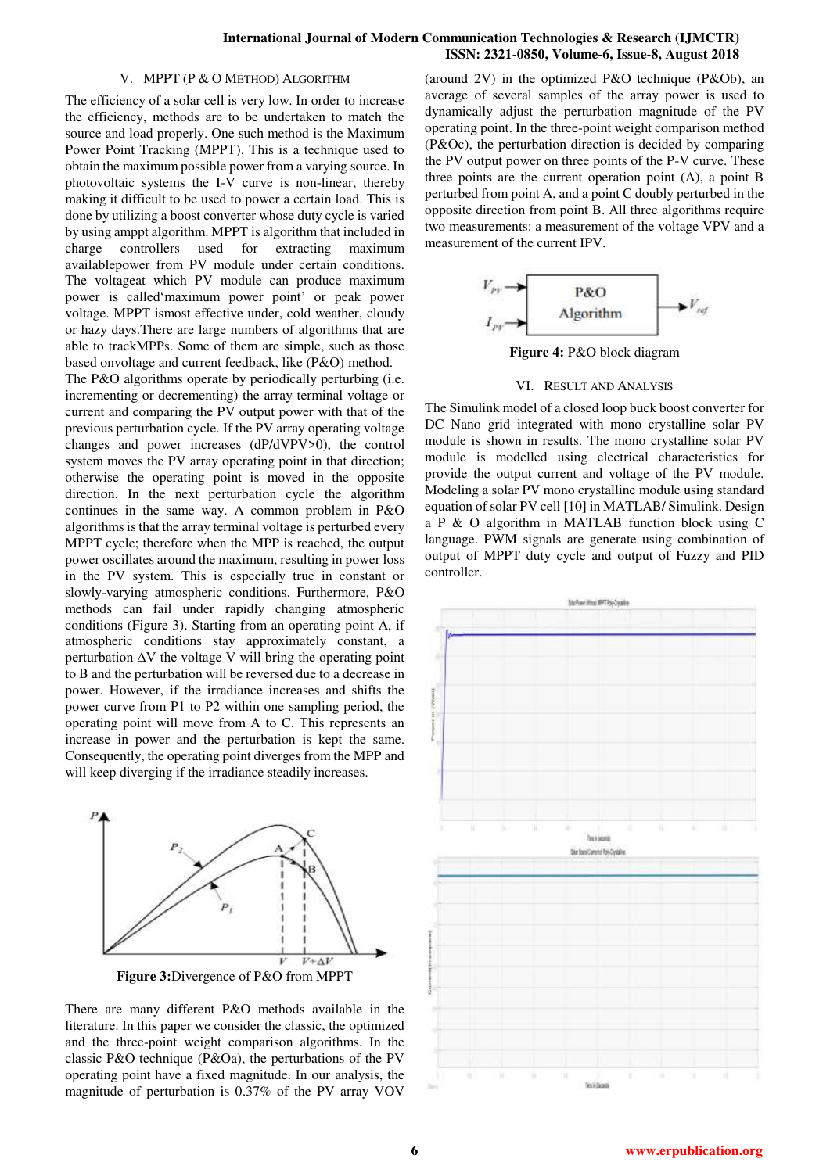## **International Journal of Modern Communication Technologies & Research (IJMCTR) ISSN: 2321-0850, Volume-6, Issue-8, August 2018**

## V. MPPT (P & O METHOD) ALGORITHM

The efficiency of a solar cell is very low. In order to increase the efficiency, methods are to be undertaken to match the source and load properly. One such method is the Maximum Power Point Tracking (MPPT). This is a technique used to obtain the maximum possible power from a varying source. In photovoltaic systems the I-V curve is non-linear, thereby making it difficult to be used to power a certain load. This is done by utilizing a boost converter whose duty cycle is varied by using amppt algorithm. MPPT is algorithm that included in charge controllers used for extracting maximum availablepower from PV module under certain conditions. The voltageat which PV module can produce maximum power is called'maximum power point' or peak power voltage. MPPT ismost effective under, cold weather, cloudy or hazy days.There are large numbers of algorithms that are able to trackMPPs. Some of them are simple, such as those based onvoltage and current feedback, like (P&O) method.

The P&O algorithms operate by periodically perturbing (i.e. incrementing or decrementing) the array terminal voltage or current and comparing the PV output power with that of the previous perturbation cycle. If the PV array operating voltage changes and power increases (dP/dVPV>0), the control system moves the PV array operating point in that direction; otherwise the operating point is moved in the opposite direction. In the next perturbation cycle the algorithm continues in the same way. A common problem in P&O algorithms is that the array terminal voltage is perturbed every MPPT cycle; therefore when the MPP is reached, the output power oscillates around the maximum, resulting in power loss in the PV system. This is especially true in constant or slowly-varying atmospheric conditions. Furthermore, P&O methods can fail under rapidly changing atmospheric conditions (Figure 3). Starting from an operating point A, if atmospheric conditions stay approximately constant, a perturbation  $\Delta V$  the voltage V will bring the operating point to B and the perturbation will be reversed due to a decrease in power. However, if the irradiance increases and shifts the power curve from P1 to P2 within one sampling period, the operating point will move from A to C. This represents an increase in power and the perturbation is kept the same. Consequently, the operating point diverges from the MPP and will keep diverging if the irradiance steadily increases.



**Figure 3:**Divergence of P&O from MPPT

There are many different P&O methods available in the literature. In this paper we consider the classic, the optimized and the three-point weight comparison algorithms. In the classic P&O technique (P&Oa), the perturbations of the PV operating point have a fixed magnitude. In our analysis, the magnitude of perturbation is 0.37% of the PV array VOV

(around 2V) in the optimized P&O technique (P&Ob), an average of several samples of the array power is used to dynamically adjust the perturbation magnitude of the PV operating point. In the three-point weight comparison method (P&Oc), the perturbation direction is decided by comparing the PV output power on three points of the P-V curve. These three points are the current operation point (A), a point B perturbed from point A, and a point C doubly perturbed in the opposite direction from point B. All three algorithms require two measurements: a measurement of the voltage VPV and a measurement of the current IPV.



**Figure 4:** P&O block diagram

#### VI. RESULT AND ANALYSIS

The Simulink model of a closed loop buck boost converter for DC Nano grid integrated with mono crystalline solar PV module is shown in results. The mono crystalline solar PV module is modelled using electrical characteristics for provide the output current and voltage of the PV module. Modeling a solar PV mono crystalline module using standard equation of solar PV cell [10] in MATLAB/ Simulink. Design a P & O algorithm in MATLAB function block using C language. PWM signals are generate using combination of output of MPPT duty cycle and output of Fuzzy and PID controller.

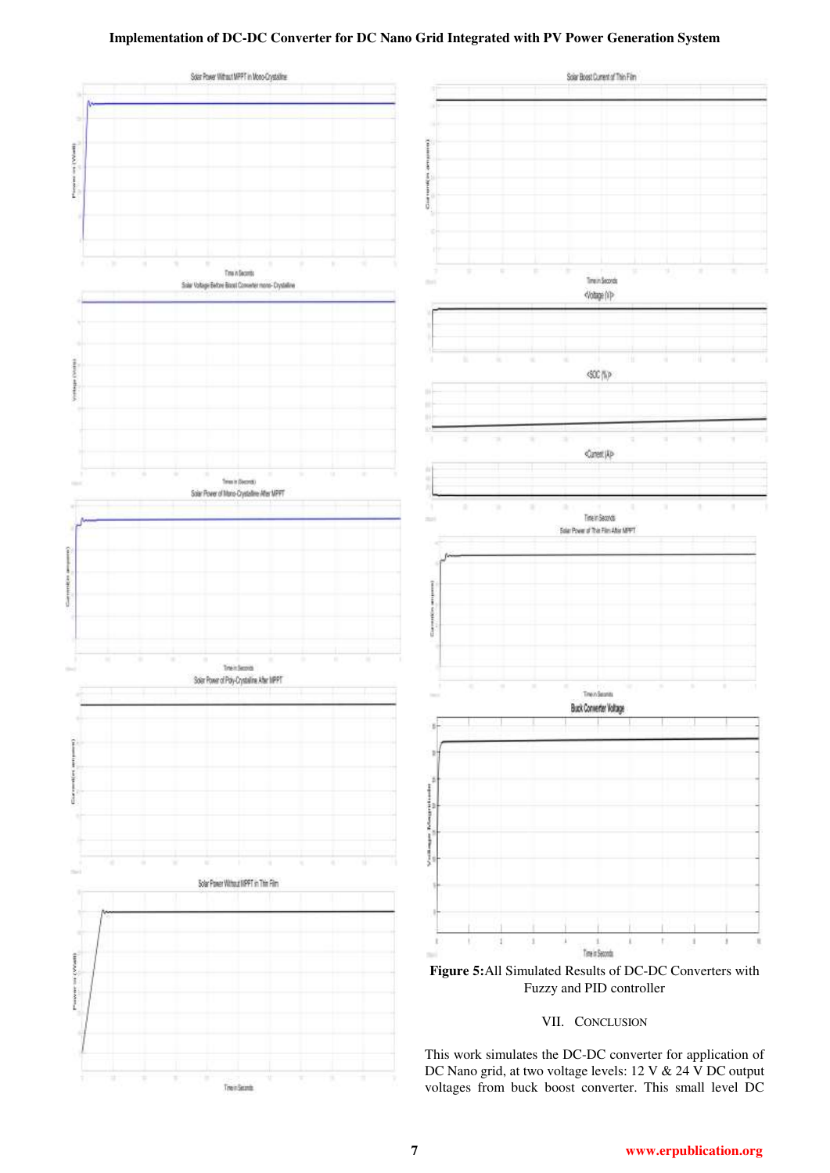# **Implementation of DC-DC Converter for DC Nano Grid Integrated with PV Power Generation System**